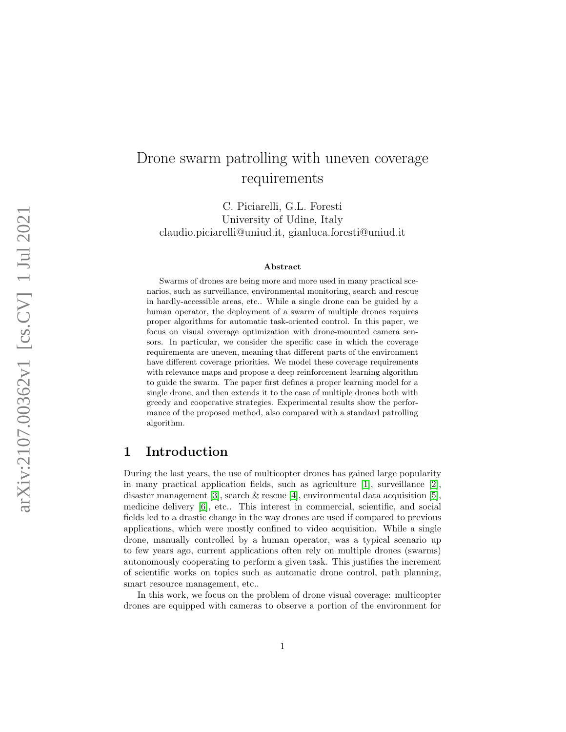# Drone swarm patrolling with uneven coverage requirements

C. Piciarelli, G.L. Foresti University of Udine, Italy claudio.piciarelli@uniud.it, gianluca.foresti@uniud.it

#### Abstract

Swarms of drones are being more and more used in many practical scenarios, such as surveillance, environmental monitoring, search and rescue in hardly-accessible areas, etc.. While a single drone can be guided by a human operator, the deployment of a swarm of multiple drones requires proper algorithms for automatic task-oriented control. In this paper, we focus on visual coverage optimization with drone-mounted camera sensors. In particular, we consider the specific case in which the coverage requirements are uneven, meaning that different parts of the environment have different coverage priorities. We model these coverage requirements with relevance maps and propose a deep reinforcement learning algorithm to guide the swarm. The paper first defines a proper learning model for a single drone, and then extends it to the case of multiple drones both with greedy and cooperative strategies. Experimental results show the performance of the proposed method, also compared with a standard patrolling algorithm.

# <span id="page-0-0"></span>1 Introduction

During the last years, the use of multicopter drones has gained large popularity in many practical application fields, such as agriculture  $[1]$ , surveillance  $[2]$ , disaster management [\[3\]](#page-25-2), search & rescue [\[4\]](#page-26-0), environmental data acquisition [\[5\]](#page-26-1), medicine delivery [\[6\]](#page-26-2), etc.. This interest in commercial, scientific, and social fields led to a drastic change in the way drones are used if compared to previous applications, which were mostly confined to video acquisition. While a single drone, manually controlled by a human operator, was a typical scenario up to few years ago, current applications often rely on multiple drones (swarms) autonomously cooperating to perform a given task. This justifies the increment of scientific works on topics such as automatic drone control, path planning, smart resource management, etc..

In this work, we focus on the problem of drone visual coverage: multicopter drones are equipped with cameras to observe a portion of the environment for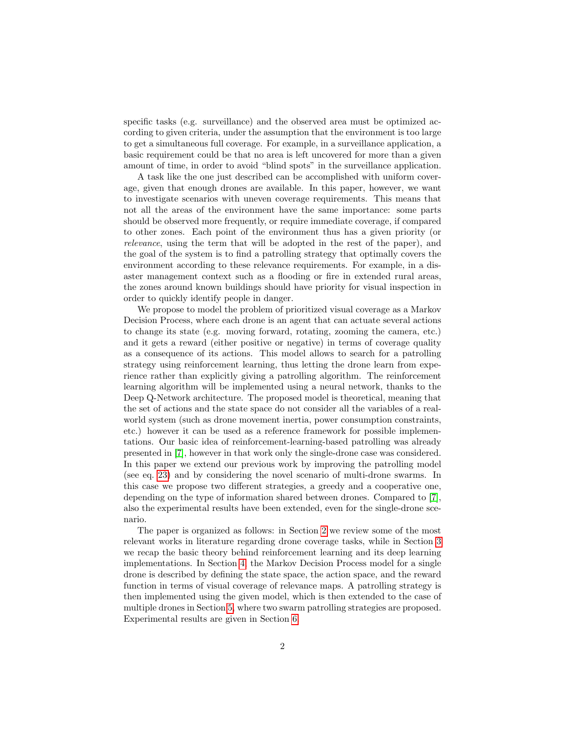specific tasks (e.g. surveillance) and the observed area must be optimized according to given criteria, under the assumption that the environment is too large to get a simultaneous full coverage. For example, in a surveillance application, a basic requirement could be that no area is left uncovered for more than a given amount of time, in order to avoid "blind spots" in the surveillance application.

A task like the one just described can be accomplished with uniform coverage, given that enough drones are available. In this paper, however, we want to investigate scenarios with uneven coverage requirements. This means that not all the areas of the environment have the same importance: some parts should be observed more frequently, or require immediate coverage, if compared to other zones. Each point of the environment thus has a given priority (or relevance, using the term that will be adopted in the rest of the paper), and the goal of the system is to find a patrolling strategy that optimally covers the environment according to these relevance requirements. For example, in a disaster management context such as a flooding or fire in extended rural areas, the zones around known buildings should have priority for visual inspection in order to quickly identify people in danger.

We propose to model the problem of prioritized visual coverage as a Markov Decision Process, where each drone is an agent that can actuate several actions to change its state (e.g. moving forward, rotating, zooming the camera, etc.) and it gets a reward (either positive or negative) in terms of coverage quality as a consequence of its actions. This model allows to search for a patrolling strategy using reinforcement learning, thus letting the drone learn from experience rather than explicitly giving a patrolling algorithm. The reinforcement learning algorithm will be implemented using a neural network, thanks to the Deep Q-Network architecture. The proposed model is theoretical, meaning that the set of actions and the state space do not consider all the variables of a realworld system (such as drone movement inertia, power consumption constraints, etc.) however it can be used as a reference framework for possible implementations. Our basic idea of reinforcement-learning-based patrolling was already presented in [\[7\]](#page-26-3), however in that work only the single-drone case was considered. In this paper we extend our previous work by improving the patrolling model (see eq. [23\)](#page-10-0) and by considering the novel scenario of multi-drone swarms. In this case we propose two different strategies, a greedy and a cooperative one, depending on the type of information shared between drones. Compared to [\[7\]](#page-26-3), also the experimental results have been extended, even for the single-drone scenario.

The paper is organized as follows: in Section [2](#page-2-0) we review some of the most relevant works in literature regarding drone coverage tasks, while in Section [3](#page-3-0) we recap the basic theory behind reinforcement learning and its deep learning implementations. In Section [4,](#page-6-0) the Markov Decision Process model for a single drone is described by defining the state space, the action space, and the reward function in terms of visual coverage of relevance maps. A patrolling strategy is then implemented using the given model, which is then extended to the case of multiple drones in Section [5,](#page-11-0) where two swarm patrolling strategies are proposed. Experimental results are given in Section [6.](#page-15-0)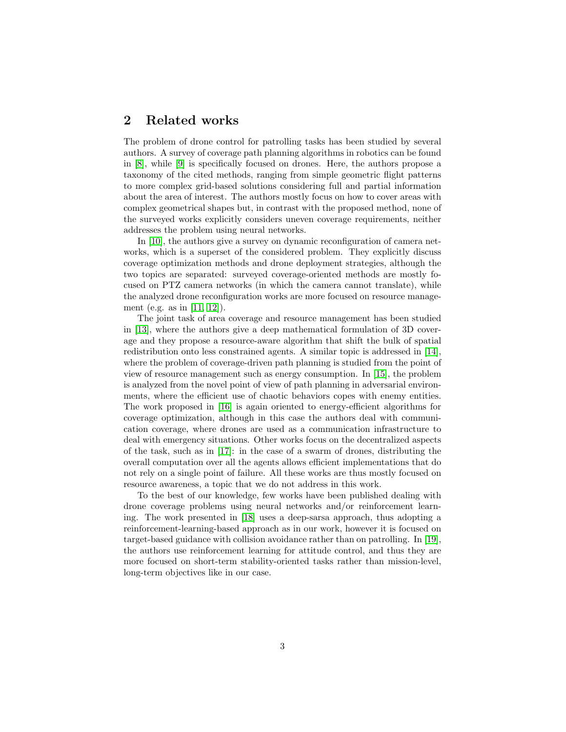# <span id="page-2-0"></span>2 Related works

The problem of drone control for patrolling tasks has been studied by several authors. A survey of coverage path planning algorithms in robotics can be found in [\[8\]](#page-26-4), while [\[9\]](#page-26-5) is specifically focused on drones. Here, the authors propose a taxonomy of the cited methods, ranging from simple geometric flight patterns to more complex grid-based solutions considering full and partial information about the area of interest. The authors mostly focus on how to cover areas with complex geometrical shapes but, in contrast with the proposed method, none of the surveyed works explicitly considers uneven coverage requirements, neither addresses the problem using neural networks.

In [\[10\]](#page-26-6), the authors give a survey on dynamic reconfiguration of camera networks, which is a superset of the considered problem. They explicitly discuss coverage optimization methods and drone deployment strategies, although the two topics are separated: surveyed coverage-oriented methods are mostly focused on PTZ camera networks (in which the camera cannot translate), while the analyzed drone reconfiguration works are more focused on resource management (e.g. as in [\[11,](#page-26-7) [12\]](#page-26-8)).

The joint task of area coverage and resource management has been studied in [\[13\]](#page-26-9), where the authors give a deep mathematical formulation of 3D coverage and they propose a resource-aware algorithm that shift the bulk of spatial redistribution onto less constrained agents. A similar topic is addressed in [\[14\]](#page-26-10), where the problem of coverage-driven path planning is studied from the point of view of resource management such as energy consumption. In [\[15\]](#page-26-11), the problem is analyzed from the novel point of view of path planning in adversarial environments, where the efficient use of chaotic behaviors copes with enemy entities. The work proposed in [\[16\]](#page-27-0) is again oriented to energy-efficient algorithms for coverage optimization, although in this case the authors deal with communication coverage, where drones are used as a communication infrastructure to deal with emergency situations. Other works focus on the decentralized aspects of the task, such as in [\[17\]](#page-27-1): in the case of a swarm of drones, distributing the overall computation over all the agents allows efficient implementations that do not rely on a single point of failure. All these works are thus mostly focused on resource awareness, a topic that we do not address in this work.

To the best of our knowledge, few works have been published dealing with drone coverage problems using neural networks and/or reinforcement learning. The work presented in [\[18\]](#page-27-2) uses a deep-sarsa approach, thus adopting a reinforcement-learning-based approach as in our work, however it is focused on target-based guidance with collision avoidance rather than on patrolling. In [\[19\]](#page-27-3), the authors use reinforcement learning for attitude control, and thus they are more focused on short-term stability-oriented tasks rather than mission-level, long-term objectives like in our case.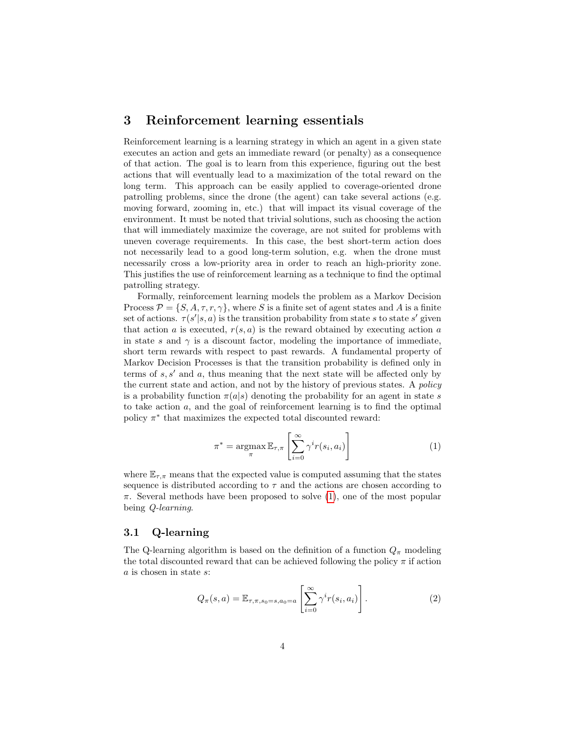### <span id="page-3-0"></span>3 Reinforcement learning essentials

Reinforcement learning is a learning strategy in which an agent in a given state executes an action and gets an immediate reward (or penalty) as a consequence of that action. The goal is to learn from this experience, figuring out the best actions that will eventually lead to a maximization of the total reward on the long term. This approach can be easily applied to coverage-oriented drone patrolling problems, since the drone (the agent) can take several actions (e.g. moving forward, zooming in, etc.) that will impact its visual coverage of the environment. It must be noted that trivial solutions, such as choosing the action that will immediately maximize the coverage, are not suited for problems with uneven coverage requirements. In this case, the best short-term action does not necessarily lead to a good long-term solution, e.g. when the drone must necessarily cross a low-priority area in order to reach an high-priority zone. This justifies the use of reinforcement learning as a technique to find the optimal patrolling strategy.

Formally, reinforcement learning models the problem as a Markov Decision Process  $\mathcal{P} = \{S, A, \tau, r, \gamma\}$ , where S is a finite set of agent states and A is a finite set of actions.  $\tau(s'|s, a)$  is the transition probability from state s to state s' given that action a is executed,  $r(s, a)$  is the reward obtained by executing action a in state s and  $\gamma$  is a discount factor, modeling the importance of immediate, short term rewards with respect to past rewards. A fundamental property of Markov Decision Processes is that the transition probability is defined only in terms of  $s, s'$  and a, thus meaning that the next state will be affected only by the current state and action, and not by the history of previous states. A policy is a probability function  $\pi(a|s)$  denoting the probability for an agent in state s to take action  $a$ , and the goal of reinforcement learning is to find the optimal policy  $\pi^*$  that maximizes the expected total discounted reward:

<span id="page-3-1"></span>
$$
\pi^* = \operatorname*{argmax}_{\pi} \mathbb{E}_{\tau,\pi} \left[ \sum_{i=0}^{\infty} \gamma^i r(s_i, a_i) \right]
$$
 (1)

where  $\mathbb{E}_{\tau,\pi}$  means that the expected value is computed assuming that the states sequence is distributed according to  $\tau$  and the actions are chosen according to  $\pi$ . Several methods have been proposed to solve [\(1\)](#page-3-1), one of the most popular being Q-learning.

### <span id="page-3-3"></span>3.1 Q-learning

The Q-learning algorithm is based on the definition of a function  $Q_{\pi}$  modeling the total discounted reward that can be achieved following the policy  $\pi$  if action a is chosen in state s:

<span id="page-3-2"></span>
$$
Q_{\pi}(s,a) = \mathbb{E}_{\tau,\pi,s_0=s,a_0=a} \left[ \sum_{i=0}^{\infty} \gamma^i r(s_i,a_i) \right]. \tag{2}
$$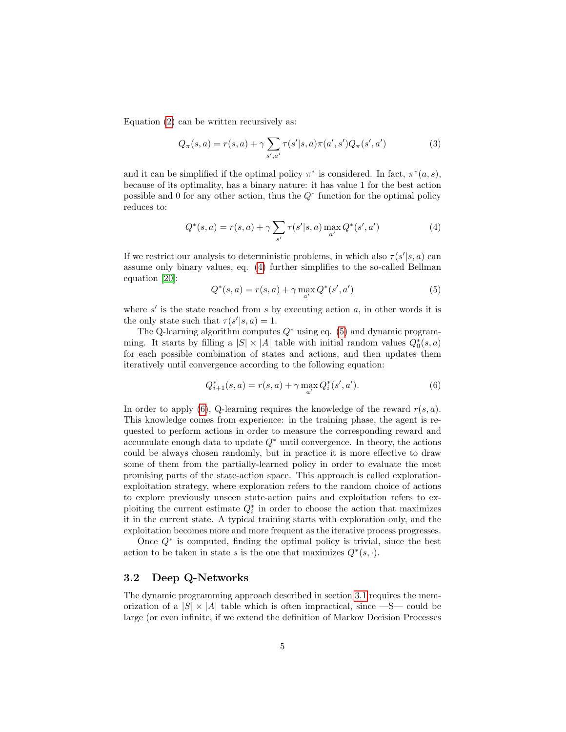Equation [\(2\)](#page-3-2) can be written recursively as:

$$
Q_{\pi}(s, a) = r(s, a) + \gamma \sum_{s', a'} \tau(s'|s, a) \pi(a', s') Q_{\pi}(s', a')
$$
 (3)

and it can be simplified if the optimal policy  $\pi^*$  is considered. In fact,  $\pi^*(a, s)$ , because of its optimality, has a binary nature: it has value 1 for the best action possible and 0 for any other action, thus the  $Q^*$  function for the optimal policy reduces to:

<span id="page-4-0"></span>
$$
Q^*(s, a) = r(s, a) + \gamma \sum_{s'} \tau(s'|s, a) \max_{a'} Q^*(s', a')
$$
 (4)

If we restrict our analysis to deterministic problems, in which also  $\tau(s'|s, a)$  can assume only binary values, eq. [\(4\)](#page-4-0) further simplifies to the so-called Bellman equation [\[20\]](#page-27-4):

<span id="page-4-1"></span>
$$
Q^*(s, a) = r(s, a) + \gamma \max_{a'} Q^*(s', a')
$$
 (5)

where  $s'$  is the state reached from s by executing action  $a$ , in other words it is the only state such that  $\tau(s'|s, a) = 1$ .

The Q-learning algorithm computes  $Q^*$  using eq. [\(5\)](#page-4-1) and dynamic programming. It starts by filling a  $|S| \times |A|$  table with initial random values  $Q_0^*(s, a)$ for each possible combination of states and actions, and then updates them iteratively until convergence according to the following equation:

<span id="page-4-2"></span>
$$
Q_{i+1}^*(s, a) = r(s, a) + \gamma \max_{a'} Q_i^*(s', a'). \tag{6}
$$

In order to apply [\(6\)](#page-4-2), Q-learning requires the knowledge of the reward  $r(s, a)$ . This knowledge comes from experience: in the training phase, the agent is requested to perform actions in order to measure the corresponding reward and accumulate enough data to update  $Q^*$  until convergence. In theory, the actions could be always chosen randomly, but in practice it is more effective to draw some of them from the partially-learned policy in order to evaluate the most promising parts of the state-action space. This approach is called explorationexploitation strategy, where exploration refers to the random choice of actions to explore previously unseen state-action pairs and exploitation refers to exploiting the current estimate  $Q_i^*$  in order to choose the action that maximizes it in the current state. A typical training starts with exploration only, and the exploitation becomes more and more frequent as the iterative process progresses.

Once Q<sup>∗</sup> is computed, finding the optimal policy is trivial, since the best action to be taken in state s is the one that maximizes  $Q^*(s, \cdot)$ .

#### <span id="page-4-3"></span>3.2 Deep Q-Networks

The dynamic programming approach described in section [3.1](#page-3-3) requires the memorization of a  $|S| \times |A|$  table which is often impractical, since  $-S$ — could be large (or even infinite, if we extend the definition of Markov Decision Processes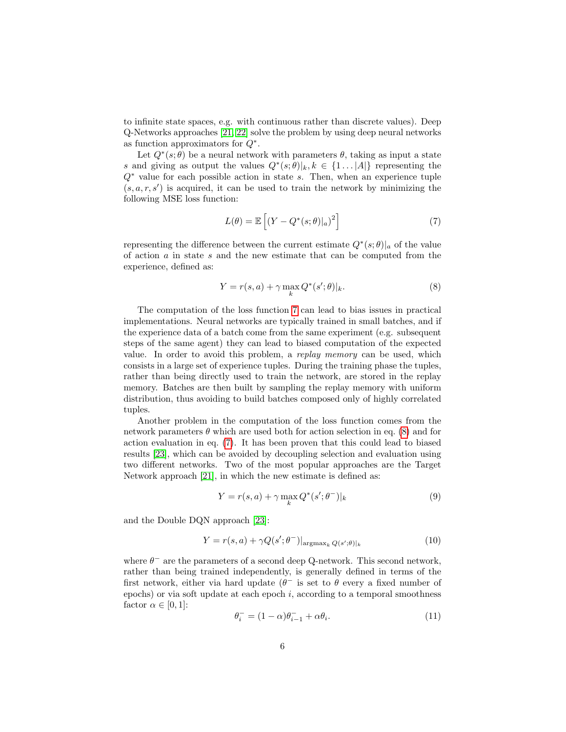to infinite state spaces, e.g. with continuous rather than discrete values). Deep Q-Networks approaches [\[21,](#page-27-5) [22\]](#page-27-6) solve the problem by using deep neural networks as function approximators for  $Q^*$ .

Let  $Q^*(s; \theta)$  be a neural network with parameters  $\theta$ , taking as input a state s and giving as output the values  $Q^*(s; \theta)|_k, k \in \{1 \dots |A|\}$  representing the  $Q^*$  value for each possible action in state s. Then, when an experience tuple  $(s, a, r, s')$  is acquired, it can be used to train the network by minimizing the following MSE loss function:

<span id="page-5-0"></span>
$$
L(\theta) = \mathbb{E}\left[ (Y - Q^*(s; \theta)|_a)^2 \right] \tag{7}
$$

representing the difference between the current estimate  $Q^*(s; \theta)|_a$  of the value of action  $a$  in state  $s$  and the new estimate that can be computed from the experience, defined as:

<span id="page-5-1"></span>
$$
Y = r(s, a) + \gamma \max_{k} Q^*(s'; \theta)|_k.
$$
 (8)

The computation of the loss function [7](#page-5-0) can lead to bias issues in practical implementations. Neural networks are typically trained in small batches, and if the experience data of a batch come from the same experiment (e.g. subsequent steps of the same agent) they can lead to biased computation of the expected value. In order to avoid this problem, a replay memory can be used, which consists in a large set of experience tuples. During the training phase the tuples, rather than being directly used to train the network, are stored in the replay memory. Batches are then built by sampling the replay memory with uniform distribution, thus avoiding to build batches composed only of highly correlated tuples.

Another problem in the computation of the loss function comes from the network parameters  $\theta$  which are used both for action selection in eq. [\(8\)](#page-5-1) and for action evaluation in eq. [\(7\)](#page-5-0). It has been proven that this could lead to biased results [\[23\]](#page-27-7), which can be avoided by decoupling selection and evaluation using two different networks. Two of the most popular approaches are the Target Network approach [\[21\]](#page-27-5), in which the new estimate is defined as:

$$
Y = r(s, a) + \gamma \max_{k} Q^*(s'; \theta^-)|_k \tag{9}
$$

and the Double DQN approach [\[23\]](#page-27-7):

<span id="page-5-2"></span>
$$
Y = r(s, a) + \gamma Q(s'; \theta^{-})|_{\text{argmax}_{k} Q(s'; \theta)|_{k}}
$$
(10)

where  $\theta^-$  are the parameters of a second deep Q-network. This second network, rather than being trained independently, is generally defined in terms of the first network, either via hard update  $(\theta^-$  is set to  $\theta$  every a fixed number of epochs) or via soft update at each epoch  $i$ , according to a temporal smoothness factor  $\alpha \in [0,1]$ :

<span id="page-5-3"></span>
$$
\theta_i^- = (1 - \alpha)\theta_{i-1}^- + \alpha\theta_i. \tag{11}
$$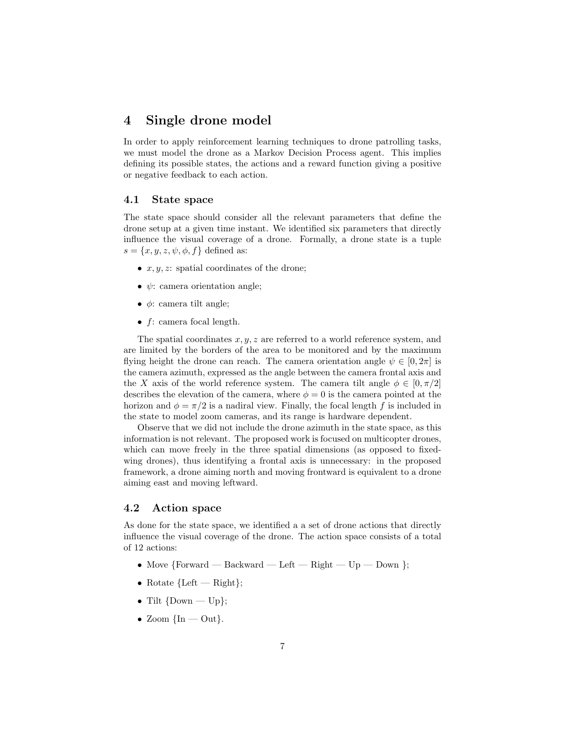# <span id="page-6-0"></span>4 Single drone model

In order to apply reinforcement learning techniques to drone patrolling tasks, we must model the drone as a Markov Decision Process agent. This implies defining its possible states, the actions and a reward function giving a positive or negative feedback to each action.

#### <span id="page-6-1"></span>4.1 State space

The state space should consider all the relevant parameters that define the drone setup at a given time instant. We identified six parameters that directly influence the visual coverage of a drone. Formally, a drone state is a tuple  $s = \{x, y, z, \psi, \phi, f\}$  defined as:

- $x, y, z$ : spatial coordinates of the drone;
- $\psi$ : camera orientation angle;
- $\bullet$   $\phi$ : camera tilt angle;
- $f$ : camera focal length.

The spatial coordinates  $x, y, z$  are referred to a world reference system, and are limited by the borders of the area to be monitored and by the maximum flying height the drone can reach. The camera orientation angle  $\psi \in [0, 2\pi]$  is the camera azimuth, expressed as the angle between the camera frontal axis and the X axis of the world reference system. The camera tilt angle  $\phi \in [0, \pi/2]$ describes the elevation of the camera, where  $\phi = 0$  is the camera pointed at the horizon and  $\phi = \pi/2$  is a nadiral view. Finally, the focal length f is included in the state to model zoom cameras, and its range is hardware dependent.

Observe that we did not include the drone azimuth in the state space, as this information is not relevant. The proposed work is focused on multicopter drones, which can move freely in the three spatial dimensions (as opposed to fixedwing drones), thus identifying a frontal axis is unnecessary: in the proposed framework, a drone aiming north and moving frontward is equivalent to a drone aiming east and moving leftward.

### 4.2 Action space

As done for the state space, we identified a a set of drone actions that directly influence the visual coverage of the drone. The action space consists of a total of 12 actions:

- Move  ${Forward Backward Left Right Up Down }$ ;
- Rotate  ${Left Right};$
- Tilt  $\{Down Up\};$
- Zoom  $\{\text{In} \text{Out}\}.$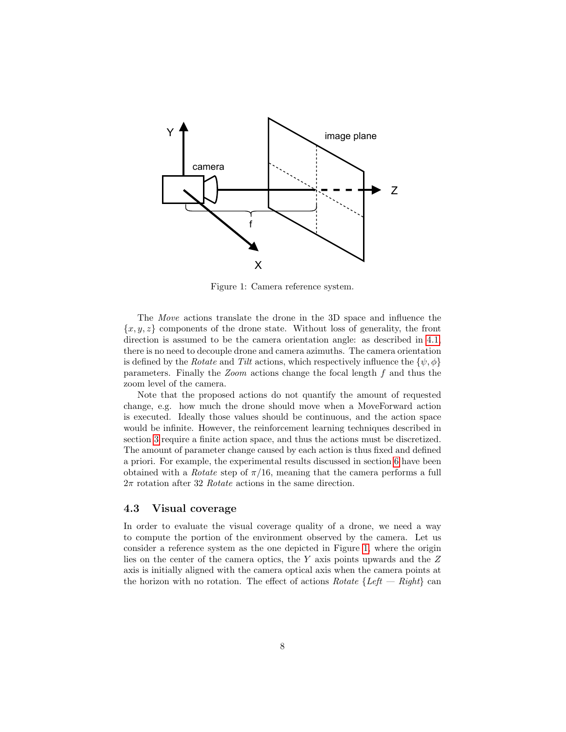<span id="page-7-0"></span>

Figure 1: Camera reference system.

The Move actions translate the drone in the 3D space and influence the  ${x, y, z}$  components of the drone state. Without loss of generality, the front direction is assumed to be the camera orientation angle: as described in [4.1,](#page-6-1) there is no need to decouple drone and camera azimuths. The camera orientation is defined by the Rotate and Tilt actions, which respectively influence the  $\{\psi, \phi\}$ parameters. Finally the Zoom actions change the focal length f and thus the zoom level of the camera.

Note that the proposed actions do not quantify the amount of requested change, e.g. how much the drone should move when a MoveForward action is executed. Ideally those values should be continuous, and the action space would be infinite. However, the reinforcement learning techniques described in section [3](#page-3-0) require a finite action space, and thus the actions must be discretized. The amount of parameter change caused by each action is thus fixed and defined a priori. For example, the experimental results discussed in section [6](#page-15-0) have been obtained with a *Rotate* step of  $\pi/16$ , meaning that the camera performs a full  $2\pi$  rotation after 32 Rotate actions in the same direction.

### <span id="page-7-1"></span>4.3 Visual coverage

In order to evaluate the visual coverage quality of a drone, we need a way to compute the portion of the environment observed by the camera. Let us consider a reference system as the one depicted in Figure [1,](#page-7-0) where the origin lies on the center of the camera optics, the Y axis points upwards and the Z axis is initially aligned with the camera optical axis when the camera points at the horizon with no rotation. The effect of actions  $Rotate \{Left - Right\}$  can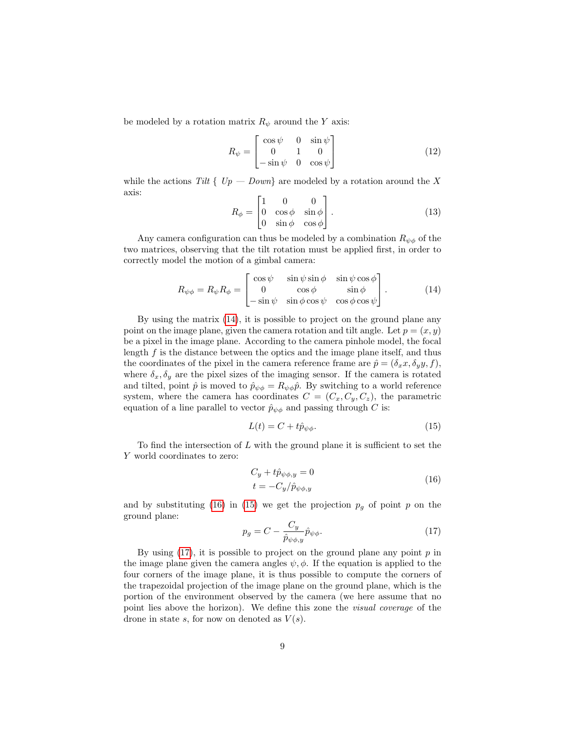be modeled by a rotation matrix  $R_{\psi}$  around the Y axis:

$$
R_{\psi} = \begin{bmatrix} \cos \psi & 0 & \sin \psi \\ 0 & 1 & 0 \\ -\sin \psi & 0 & \cos \psi \end{bmatrix}
$$
 (12)

while the actions Tilt {  $Up - Down$ } are modeled by a rotation around the X axis:

$$
R_{\phi} = \begin{bmatrix} 1 & 0 & 0 \\ 0 & \cos \phi & \sin \phi \\ 0 & \sin \phi & \cos \phi \end{bmatrix} . \tag{13}
$$

Any camera configuration can thus be modeled by a combination  $R_{\psi\phi}$  of the two matrices, observing that the tilt rotation must be applied first, in order to correctly model the motion of a gimbal camera:

<span id="page-8-0"></span>
$$
R_{\psi\phi} = R_{\psi} R_{\phi} = \begin{bmatrix} \cos\psi & \sin\psi\sin\phi & \sin\psi\cos\phi \\ 0 & \cos\phi & \sin\phi \\ -\sin\psi & \sin\phi\cos\psi & \cos\phi\cos\psi \end{bmatrix} . \tag{14}
$$

By using the matrix [\(14\)](#page-8-0), it is possible to project on the ground plane any point on the image plane, given the camera rotation and tilt angle. Let  $p = (x, y)$ be a pixel in the image plane. According to the camera pinhole model, the focal length  $f$  is the distance between the optics and the image plane itself, and thus the coordinates of the pixel in the camera reference frame are  $\hat{p} = (\delta_x x, \delta_y y, f)$ , where  $\delta_x, \delta_y$  are the pixel sizes of the imaging sensor. If the camera is rotated and tilted, point  $\hat{p}$  is moved to  $\hat{p}_{\psi\phi} = R_{\psi\phi}\hat{p}$ . By switching to a world reference system, where the camera has coordinates  $C = (C_x, C_y, C_z)$ , the parametric equation of a line parallel to vector  $\hat{p}_{\psi\phi}$  and passing through C is:

<span id="page-8-2"></span>
$$
L(t) = C + t\hat{p}_{\psi\phi}.
$$
\n<sup>(15)</sup>

To find the intersection of  $L$  with the ground plane it is sufficient to set the Y world coordinates to zero:

<span id="page-8-1"></span>
$$
C_y + t\hat{p}_{\psi\phi,y} = 0
$$
  
\n
$$
t = -C_y/\hat{p}_{\psi\phi,y}
$$
\n(16)

and by substituting [\(16\)](#page-8-1) in [\(15\)](#page-8-2) we get the projection  $p<sub>g</sub>$  of point p on the ground plane:

<span id="page-8-3"></span>
$$
p_g = C - \frac{C_y}{\hat{p}_{\psi\phi,y}} \hat{p}_{\psi\phi}.
$$
\n(17)

By using  $(17)$ , it is possible to project on the ground plane any point p in the image plane given the camera angles  $\psi$ ,  $\phi$ . If the equation is applied to the four corners of the image plane, it is thus possible to compute the corners of the trapezoidal projection of the image plane on the ground plane, which is the portion of the environment observed by the camera (we here assume that no point lies above the horizon). We define this zone the visual coverage of the drone in state s, for now on denoted as  $V(s)$ .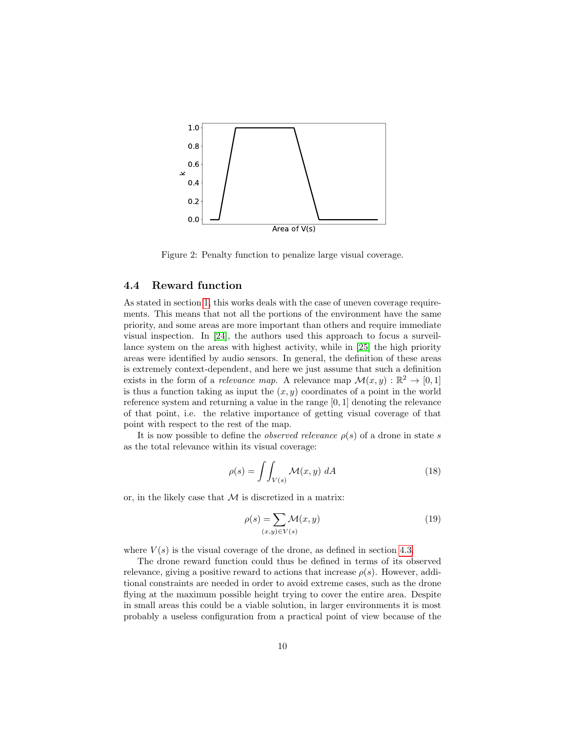<span id="page-9-0"></span>

Figure 2: Penalty function to penalize large visual coverage.

### <span id="page-9-1"></span>4.4 Reward function

As stated in section [1,](#page-0-0) this works deals with the case of uneven coverage requirements. This means that not all the portions of the environment have the same priority, and some areas are more important than others and require immediate visual inspection. In [\[24\]](#page-27-8), the authors used this approach to focus a surveillance system on the areas with highest activity, while in [\[25\]](#page-27-9) the high priority areas were identified by audio sensors. In general, the definition of these areas is extremely context-dependent, and here we just assume that such a definition exists in the form of a *relevance map*. A relevance map  $\mathcal{M}(x, y) : \mathbb{R}^2 \to [0, 1]$ is thus a function taking as input the  $(x, y)$  coordinates of a point in the world reference system and returning a value in the range [0, 1] denoting the relevance of that point, i.e. the relative importance of getting visual coverage of that point with respect to the rest of the map.

It is now possible to define the *observed relevance*  $\rho(s)$  of a drone in state s as the total relevance within its visual coverage:

$$
\rho(s) = \int\int_{V(s)} \mathcal{M}(x, y) \, dA \tag{18}
$$

or, in the likely case that  $M$  is discretized in a matrix:

<span id="page-9-2"></span>
$$
\rho(s) = \sum_{(x,y)\in V(s)} \mathcal{M}(x,y) \tag{19}
$$

where  $V(s)$  is the visual coverage of the drone, as defined in section [4.3.](#page-7-1)

The drone reward function could thus be defined in terms of its observed relevance, giving a positive reward to actions that increase  $\rho(s)$ . However, additional constraints are needed in order to avoid extreme cases, such as the drone flying at the maximum possible height trying to cover the entire area. Despite in small areas this could be a viable solution, in larger environments it is most probably a useless configuration from a practical point of view because of the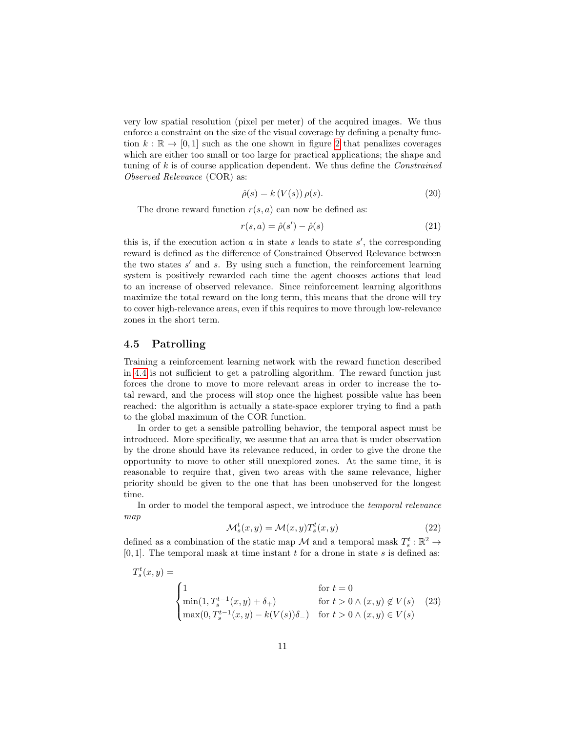very low spatial resolution (pixel per meter) of the acquired images. We thus enforce a constraint on the size of the visual coverage by defining a penalty function  $k : \mathbb{R} \to [0, 1]$  such as the one shown in figure [2](#page-9-0) that penalizes coverages which are either too small or too large for practical applications; the shape and tuning of  $k$  is of course application dependent. We thus define the *Constrained* Observed Relevance (COR) as:

<span id="page-10-1"></span>
$$
\hat{\rho}(s) = k(V(s)) \,\rho(s). \tag{20}
$$

The drone reward function  $r(s, a)$  can now be defined as:

<span id="page-10-2"></span>
$$
r(s,a) = \hat{\rho}(s') - \hat{\rho}(s)
$$
\n(21)

this is, if the execution action  $a$  in state  $s$  leads to state  $s'$ , the corresponding reward is defined as the difference of Constrained Observed Relevance between the two states  $s'$  and  $s$ . By using such a function, the reinforcement learning system is positively rewarded each time the agent chooses actions that lead to an increase of observed relevance. Since reinforcement learning algorithms maximize the total reward on the long term, this means that the drone will try to cover high-relevance areas, even if this requires to move through low-relevance zones in the short term.

#### <span id="page-10-3"></span>4.5 Patrolling

Training a reinforcement learning network with the reward function described in [4.4](#page-9-1) is not sufficient to get a patrolling algorithm. The reward function just forces the drone to move to more relevant areas in order to increase the total reward, and the process will stop once the highest possible value has been reached: the algorithm is actually a state-space explorer trying to find a path to the global maximum of the COR function.

In order to get a sensible patrolling behavior, the temporal aspect must be introduced. More specifically, we assume that an area that is under observation by the drone should have its relevance reduced, in order to give the drone the opportunity to move to other still unexplored zones. At the same time, it is reasonable to require that, given two areas with the same relevance, higher priority should be given to the one that has been unobserved for the longest time.

In order to model the temporal aspect, we introduce the temporal relevance map

<span id="page-10-0"></span>
$$
\mathcal{M}_s^t(x, y) = \mathcal{M}(x, y) T_s^t(x, y)
$$
\n(22)

defined as a combination of the static map  $\mathcal M$  and a temporal mask  $T_s^t : \mathbb R^2 \to$  $[0, 1]$ . The temporal mask at time instant t for a drone in state s is defined as:

$$
T_s^t(x,y) = \begin{cases} 1 & \text{for } t = 0\\ \min(1, T_s^{t-1}(x,y) + \delta_+) & \text{for } t > 0 \land (x,y) \notin V(s)\\ \max(0, T_s^{t-1}(x,y) - k(V(s))\delta_-) & \text{for } t > 0 \land (x,y) \in V(s) \end{cases}
$$
(23)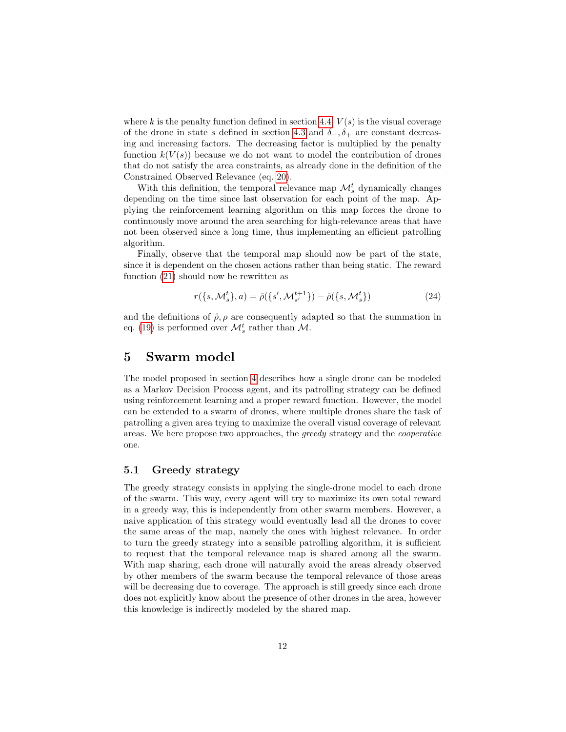where k is the penalty function defined in section [4.4,](#page-9-1)  $V(s)$  is the visual coverage of the drone in state s defined in section [4.3](#page-7-1) and  $\delta_-, \delta_+$  are constant decreasing and increasing factors. The decreasing factor is multiplied by the penalty function  $k(V(s))$  because we do not want to model the contribution of drones that do not satisfy the area constraints, as already done in the definition of the Constrained Observed Relevance (eq. [20\)](#page-10-1).

With this definition, the temporal relevance map  $\mathcal{M}_s^t$  dynamically changes depending on the time since last observation for each point of the map. Applying the reinforcement learning algorithm on this map forces the drone to continuously move around the area searching for high-relevance areas that have not been observed since a long time, thus implementing an efficient patrolling algorithm.

Finally, observe that the temporal map should now be part of the state, since it is dependent on the chosen actions rather than being static. The reward function [\(21\)](#page-10-2) should now be rewritten as

<span id="page-11-1"></span>
$$
r({s, \mathcal{M}_s^t}, a) = \hat{\rho}({s', \mathcal{M}_{s'}^{t+1}}) - \hat{\rho}({s, \mathcal{M}_s^t})
$$
\n(24)

and the definitions of  $\hat{\rho}, \rho$  are consequently adapted so that the summation in eq. [\(19\)](#page-9-2) is performed over  $\mathcal{M}_s^t$  rather than  $\mathcal{M}$ .

## <span id="page-11-0"></span>5 Swarm model

The model proposed in section [4](#page-6-0) describes how a single drone can be modeled as a Markov Decision Process agent, and its patrolling strategy can be defined using reinforcement learning and a proper reward function. However, the model can be extended to a swarm of drones, where multiple drones share the task of patrolling a given area trying to maximize the overall visual coverage of relevant areas. We here propose two approaches, the greedy strategy and the cooperative one.

### <span id="page-11-2"></span>5.1 Greedy strategy

The greedy strategy consists in applying the single-drone model to each drone of the swarm. This way, every agent will try to maximize its own total reward in a greedy way, this is independently from other swarm members. However, a naive application of this strategy would eventually lead all the drones to cover the same areas of the map, namely the ones with highest relevance. In order to turn the greedy strategy into a sensible patrolling algorithm, it is sufficient to request that the temporal relevance map is shared among all the swarm. With map sharing, each drone will naturally avoid the areas already observed by other members of the swarm because the temporal relevance of those areas will be decreasing due to coverage. The approach is still greedy since each drone does not explicitly know about the presence of other drones in the area, however this knowledge is indirectly modeled by the shared map.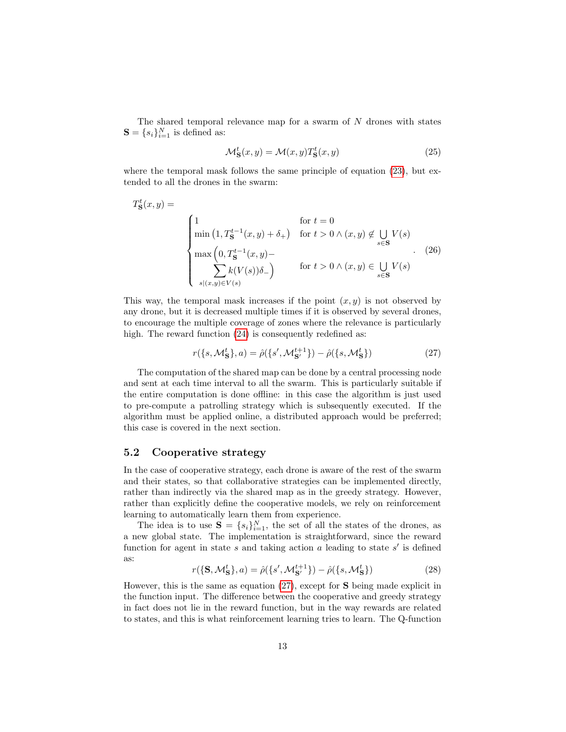The shared temporal relevance map for a swarm of N drones with states  $\mathbf{S} = \{s_i\}_{i=1}^N$  is defined as:

$$
\mathcal{M}_{\mathbf{S}}^{t}(x,y) = \mathcal{M}(x,y)T_{\mathbf{S}}^{t}(x,y)
$$
\n(25)

where the temporal mask follows the same principle of equation  $(23)$ , but extended to all the drones in the swarm:

$$
T_{\mathbf{S}}^{t}(x,y) = \begin{cases} 1 & \text{for } t = 0 \\ \min\left(1, T_{\mathbf{S}}^{t-1}(x,y) + \delta_{+}\right) & \text{for } t > 0 \land (x,y) \notin \bigcup_{s \in \mathbf{S}} V(s) \\ \max\left(0, T_{\mathbf{S}}^{t-1}(x,y) - \sum_{s | (x,y) \in V(s)} k(V(s))\delta_{-}\right) & \text{for } t > 0 \land (x,y) \in \bigcup_{s \in \mathbf{S}} V(s) \end{cases}
$$
(26)

This way, the temporal mask increases if the point  $(x, y)$  is not observed by any drone, but it is decreased multiple times if it is observed by several drones, to encourage the multiple coverage of zones where the relevance is particularly high. The reward function  $(24)$  is consequently redefined as:

<span id="page-12-0"></span>
$$
r(\lbrace s, \mathcal{M}_{\mathbf{S}}^t \rbrace, a) = \hat{\rho}(\lbrace s', \mathcal{M}_{\mathbf{S}'}^{t+1} \rbrace) - \hat{\rho}(\lbrace s, \mathcal{M}_{\mathbf{S}}^t \rbrace)
$$
(27)

The computation of the shared map can be done by a central processing node and sent at each time interval to all the swarm. This is particularly suitable if the entire computation is done offline: in this case the algorithm is just used to pre-compute a patrolling strategy which is subsequently executed. If the algorithm must be applied online, a distributed approach would be preferred; this case is covered in the next section.

#### 5.2 Cooperative strategy

In the case of cooperative strategy, each drone is aware of the rest of the swarm and their states, so that collaborative strategies can be implemented directly, rather than indirectly via the shared map as in the greedy strategy. However, rather than explicitly define the cooperative models, we rely on reinforcement learning to automatically learn them from experience.

The idea is to use  $S = \{s_i\}_{i=1}^N$ , the set of all the states of the drones, as a new global state. The implementation is straightforward, since the reward function for agent in state  $s$  and taking action  $a$  leading to state  $s'$  is defined as:

$$
r(\{\mathbf{S}, \mathcal{M}_{\mathbf{S}}^t\}, a) = \hat{\rho}(\{s', \mathcal{M}_{\mathbf{S}'}^{t+1}\}) - \hat{\rho}(\{s, \mathcal{M}_{\mathbf{S}}^t\})
$$
(28)

However, this is the same as equation  $(27)$ , except for **S** being made explicit in the function input. The difference between the cooperative and greedy strategy in fact does not lie in the reward function, but in the way rewards are related to states, and this is what reinforcement learning tries to learn. The Q-function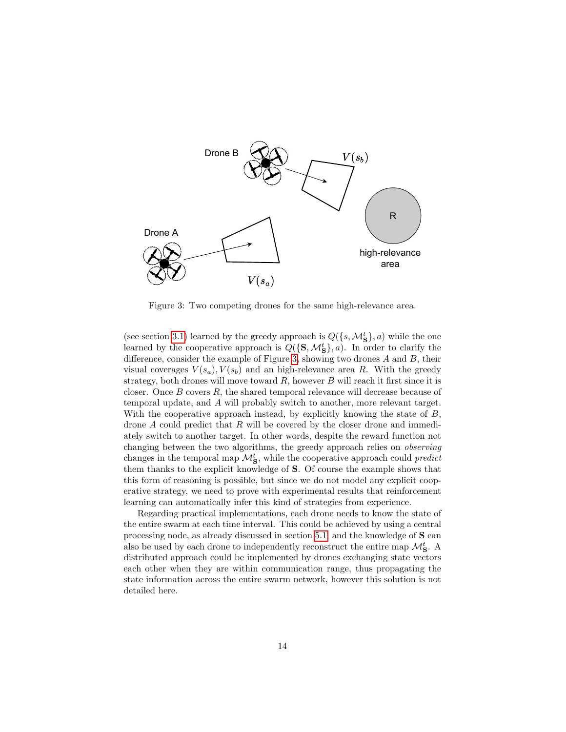<span id="page-13-0"></span>

Figure 3: Two competing drones for the same high-relevance area.

(see section [3.1\)](#page-3-3) learned by the greedy approach is  $Q({s, \mathcal{M}_{\mathbf{S}}^t}, a)$  while the one learned by the cooperative approach is  $Q({\{S, \mathcal{M}_S^t\}}, a)$ . In order to clarify the difference, consider the example of Figure [3,](#page-13-0) showing two drones A and B, their visual coverages  $V(s_a)$ ,  $V(s_b)$  and an high-relevance area R. With the greedy strategy, both drones will move toward  $R$ , however  $B$  will reach it first since it is closer. Once B covers R, the shared temporal relevance will decrease because of temporal update, and A will probably switch to another, more relevant target. With the cooperative approach instead, by explicitly knowing the state of  $B$ , drone A could predict that R will be covered by the closer drone and immediately switch to another target. In other words, despite the reward function not changing between the two algorithms, the greedy approach relies on observing changes in the temporal map  $\mathcal{M}_{\mathbf{S}}^{t}$ , while the cooperative approach could *predict* them thanks to the explicit knowledge of S. Of course the example shows that this form of reasoning is possible, but since we do not model any explicit cooperative strategy, we need to prove with experimental results that reinforcement learning can automatically infer this kind of strategies from experience.

Regarding practical implementations, each drone needs to know the state of the entire swarm at each time interval. This could be achieved by using a central processing node, as already discussed in section [5.1,](#page-11-2) and the knowledge of S can also be used by each drone to independently reconstruct the entire map  $\mathcal{M}_\mathbf{S}^t.$  A distributed approach could be implemented by drones exchanging state vectors each other when they are within communication range, thus propagating the state information across the entire swarm network, however this solution is not detailed here.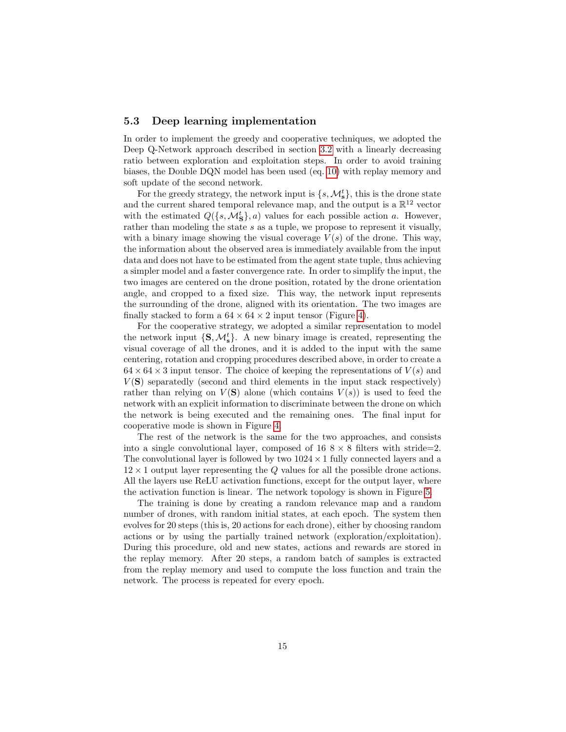#### <span id="page-14-0"></span>5.3 Deep learning implementation

In order to implement the greedy and cooperative techniques, we adopted the Deep Q-Network approach described in section [3.2](#page-4-3) with a linearly decreasing ratio between exploration and exploitation steps. In order to avoid training biases, the Double DQN model has been used (eq. [10\)](#page-5-2) with replay memory and soft update of the second network.

For the greedy strategy, the network input is  $\{s, \mathcal{M}_{s}^{t}\},$  this is the drone state and the current shared temporal relevance map, and the output is a  $\mathbb{R}^{12}$  vector with the estimated  $Q({s, \mathcal{M}_{\mathbf{S}}^t}, a)$  values for each possible action a. However, rather than modeling the state s as a tuple, we propose to represent it visually, with a binary image showing the visual coverage  $V(s)$  of the drone. This way, the information about the observed area is immediately available from the input data and does not have to be estimated from the agent state tuple, thus achieving a simpler model and a faster convergence rate. In order to simplify the input, the two images are centered on the drone position, rotated by the drone orientation angle, and cropped to a fixed size. This way, the network input represents the surrounding of the drone, aligned with its orientation. The two images are finally stacked to form a  $64 \times 64 \times 2$  input tensor (Figure [4\)](#page-15-1).

For the cooperative strategy, we adopted a similar representation to model the network input  $\{S, \mathcal{M}_{s}^{t}\}\$ . A new binary image is created, representing the visual coverage of all the drones, and it is added to the input with the same centering, rotation and cropping procedures described above, in order to create a  $64 \times 64 \times 3$  input tensor. The choice of keeping the representations of  $V(s)$  and  $V(S)$  separatedly (second and third elements in the input stack respectively) rather than relying on  $V(S)$  alone (which contains  $V(s)$ ) is used to feed the network with an explicit information to discriminate between the drone on which the network is being executed and the remaining ones. The final input for cooperative mode is shown in Figure [4.](#page-15-1)

The rest of the network is the same for the two approaches, and consists into a single convolutional layer, composed of  $16 \< 8$  filters with stride=2. The convolutional layer is followed by two  $1024 \times 1$  fully connected layers and a  $12 \times 1$  output layer representing the Q values for all the possible drone actions. All the layers use ReLU activation functions, except for the output layer, where the activation function is linear. The network topology is shown in Figure [5.](#page-16-0)

The training is done by creating a random relevance map and a random number of drones, with random initial states, at each epoch. The system then evolves for 20 steps (this is, 20 actions for each drone), either by choosing random actions or by using the partially trained network (exploration/exploitation). During this procedure, old and new states, actions and rewards are stored in the replay memory. After 20 steps, a random batch of samples is extracted from the replay memory and used to compute the loss function and train the network. The process is repeated for every epoch.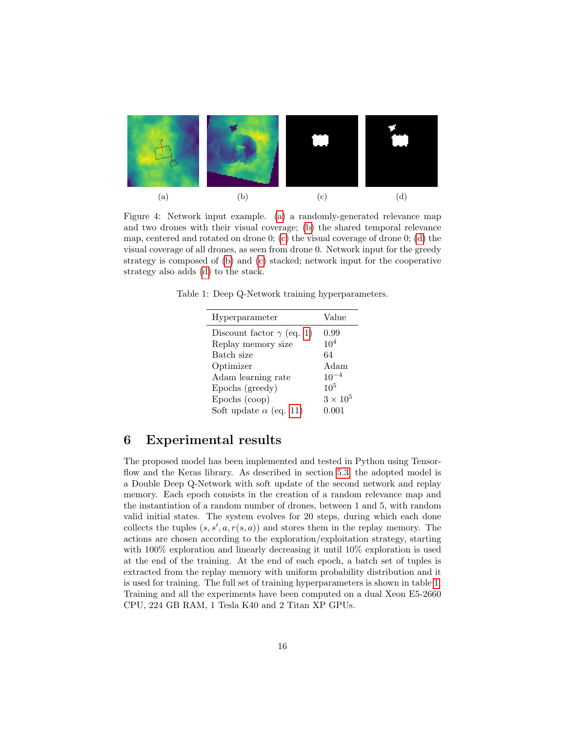<span id="page-15-1"></span>

Figure 4: Network input example. [\(a\)](#page-15-1) a randomly-generated relevance map and two drones with their visual coverage; [\(b\)](#page-15-1) the shared temporal relevance map, centered and rotated on drone 0; [\(c\)](#page-15-1) the visual coverage of drone 0; [\(d\)](#page-15-1) the visual coverage of all drones, as seen from drone 0. Network input for the greedy strategy is composed of [\(b\)](#page-15-1) and [\(c\)](#page-15-1) stacked; network input for the cooperative strategy also adds [\(d\)](#page-15-1) to the stack.

<span id="page-15-2"></span>Table 1: Deep Q-Network training hyperparameters.

| Hyperparameter                   | Value           |
|----------------------------------|-----------------|
| Discount factor $\gamma$ (eq. 1) | 0.99            |
| Replay memory size               | $10^{4}$        |
| Batch size                       | 64              |
| Optimizer                        | Adam            |
| Adam learning rate               | $10^{-4}$       |
| Epochs (greedy)                  | 10 <sup>5</sup> |
| Epochs (coop)                    | $3\times10^5$   |
| Soft update $\alpha$ (eq. 11)    | 0.001           |
|                                  |                 |

## <span id="page-15-0"></span>6 Experimental results

The proposed model has been implemented and tested in Python using Tensor-flow and the Keras library. As described in section [5.3,](#page-14-0) the adopted model is a Double Deep Q-Network with soft update of the second network and replay memory. Each epoch consists in the creation of a random relevance map and the instantiation of a random number of drones, between 1 and 5, with random valid initial states. The system evolves for 20 steps, during which each done collects the tuples  $(s, s', a, r(s, a))$  and stores them in the replay memory. The actions are chosen according to the exploration/exploitation strategy, starting with  $100\%$  exploration and linearly decreasing it until  $10\%$  exploration is used at the end of the training. At the end of each epoch, a batch set of tuples is extracted from the replay memory with uniform probability distribution and it is used for training. The full set of training hyperparameters is shown in table [1.](#page-15-2) Training and all the experiments have been computed on a dual Xeon E5-2660 CPU, 224 GB RAM, 1 Tesla K40 and 2 Titan XP GPUs.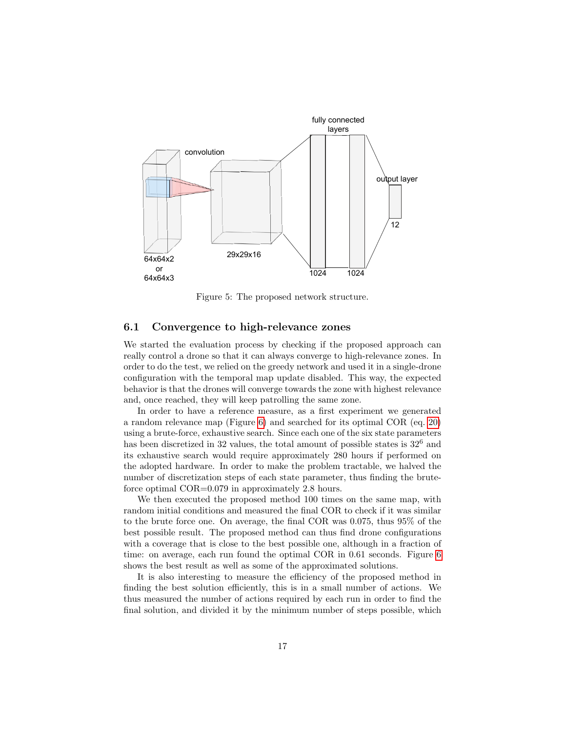<span id="page-16-0"></span>

Figure 5: The proposed network structure.

#### 6.1 Convergence to high-relevance zones

We started the evaluation process by checking if the proposed approach can really control a drone so that it can always converge to high-relevance zones. In order to do the test, we relied on the greedy network and used it in a single-drone configuration with the temporal map update disabled. This way, the expected behavior is that the drones will converge towards the zone with highest relevance and, once reached, they will keep patrolling the same zone.

In order to have a reference measure, as a first experiment we generated a random relevance map (Figure [6\)](#page-17-0) and searched for its optimal COR (eq. [20\)](#page-10-1) using a brute-force, exhaustive search. Since each one of the six state parameters has been discretized in 32 values, the total amount of possible states is  $32<sup>6</sup>$  and its exhaustive search would require approximately 280 hours if performed on the adopted hardware. In order to make the problem tractable, we halved the number of discretization steps of each state parameter, thus finding the bruteforce optimal COR=0.079 in approximately 2.8 hours.

We then executed the proposed method 100 times on the same map, with random initial conditions and measured the final COR to check if it was similar to the brute force one. On average, the final COR was 0.075, thus 95% of the best possible result. The proposed method can thus find drone configurations with a coverage that is close to the best possible one, although in a fraction of time: on average, each run found the optimal COR in 0.61 seconds. Figure [6](#page-17-0) shows the best result as well as some of the approximated solutions.

It is also interesting to measure the efficiency of the proposed method in finding the best solution efficiently, this is in a small number of actions. We thus measured the number of actions required by each run in order to find the final solution, and divided it by the minimum number of steps possible, which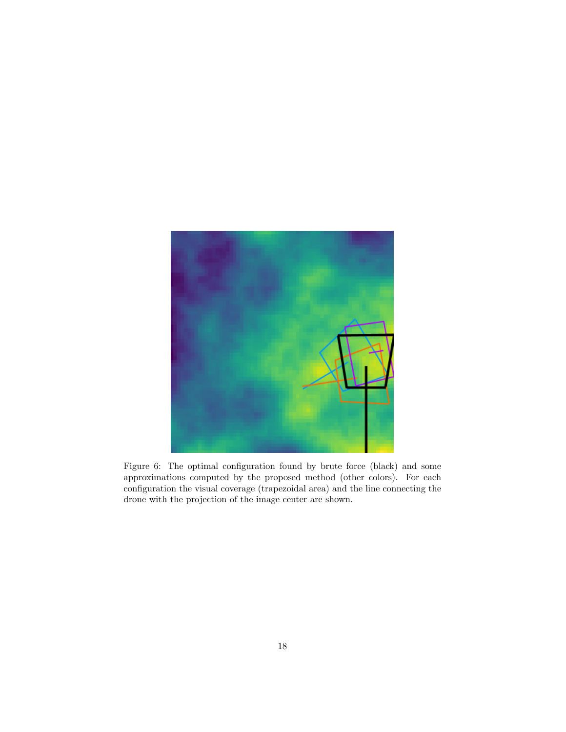<span id="page-17-0"></span>

Figure 6: The optimal configuration found by brute force (black) and some approximations computed by the proposed method (other colors). For each configuration the visual coverage (trapezoidal area) and the line connecting the drone with the projection of the image center are shown.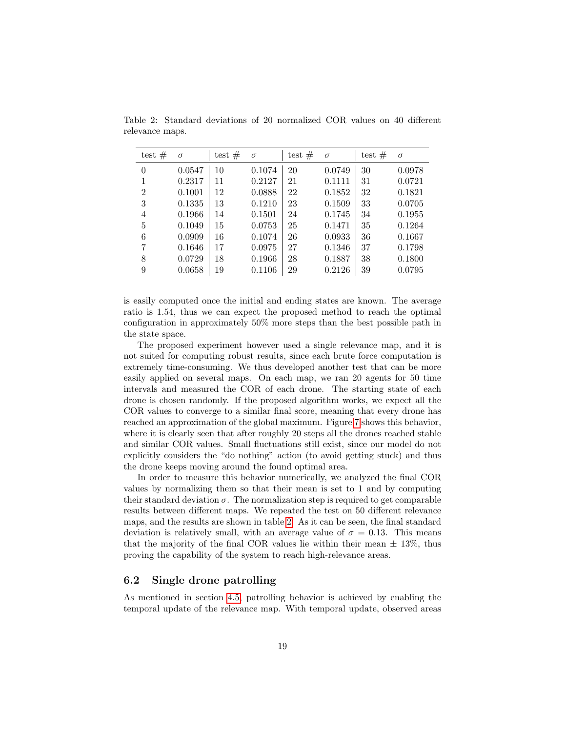| test $#$       | $\sigma$ | test $#$ | $\sigma$ | test $#$ | $\sigma$ | test $#$ | $\sigma$ |
|----------------|----------|----------|----------|----------|----------|----------|----------|
| $\theta$       | 0.0547   | 10       | 0.1074   | 20       | 0.0749   | 30       | 0.0978   |
| 1              | 0.2317   | 11       | 0.2127   | 21       | 0.1111   | 31       | 0.0721   |
| $\overline{2}$ | 0.1001   | 12       | 0.0888   | 22       | 0.1852   | 32       | 0.1821   |
| 3              | 0.1335   | 13       | 0.1210   | 23       | 0.1509   | 33       | 0.0705   |
| 4              | 0.1966   | 14       | 0.1501   | 24       | 0.1745   | 34       | 0.1955   |
| 5              | 0.1049   | 15       | 0.0753   | 25       | 0.1471   | 35       | 0.1264   |
| 6              | 0.0909   | 16       | 0.1074   | 26       | 0.0933   | 36       | 0.1667   |
| 7              | 0.1646   | 17       | 0.0975   | 27       | 0.1346   | 37       | 0.1798   |
| 8              | 0.0729   | 18       | 0.1966   | 28       | 0.1887   | 38       | 0.1800   |
| 9              | 0.0658   | 19       | 0.1106   | 29       | 0.2126   | 39       | 0.0795   |

<span id="page-18-0"></span>Table 2: Standard deviations of 20 normalized COR values on 40 different relevance maps.

is easily computed once the initial and ending states are known. The average ratio is 1.54, thus we can expect the proposed method to reach the optimal configuration in approximately 50% more steps than the best possible path in the state space.

The proposed experiment however used a single relevance map, and it is not suited for computing robust results, since each brute force computation is extremely time-consuming. We thus developed another test that can be more easily applied on several maps. On each map, we ran 20 agents for 50 time intervals and measured the COR of each drone. The starting state of each drone is chosen randomly. If the proposed algorithm works, we expect all the COR values to converge to a similar final score, meaning that every drone has reached an approximation of the global maximum. Figure [7](#page-19-0) shows this behavior, where it is clearly seen that after roughly 20 steps all the drones reached stable and similar COR values. Small fluctuations still exist, since our model do not explicitly considers the "do nothing" action (to avoid getting stuck) and thus the drone keeps moving around the found optimal area.

In order to measure this behavior numerically, we analyzed the final COR values by normalizing them so that their mean is set to 1 and by computing their standard deviation  $\sigma$ . The normalization step is required to get comparable results between different maps. We repeated the test on 50 different relevance maps, and the results are shown in table [2.](#page-18-0) As it can be seen, the final standard deviation is relatively small, with an average value of  $\sigma = 0.13$ . This means that the majority of the final COR values lie within their mean  $\pm$  13%, thus proving the capability of the system to reach high-relevance areas.

#### 6.2 Single drone patrolling

As mentioned in section [4.5,](#page-10-3) patrolling behavior is achieved by enabling the temporal update of the relevance map. With temporal update, observed areas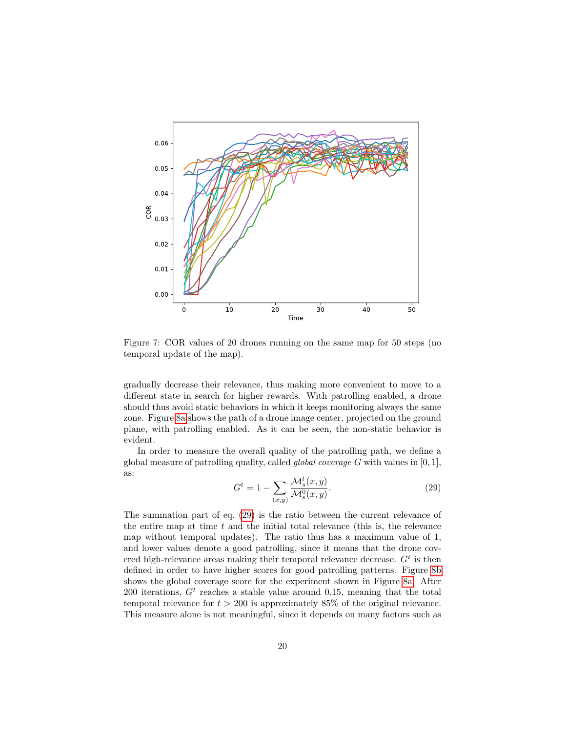<span id="page-19-0"></span>

Figure 7: COR values of 20 drones running on the same map for 50 steps (no temporal update of the map).

gradually decrease their relevance, thus making more convenient to move to a different state in search for higher rewards. With patrolling enabled, a drone should thus avoid static behaviors in which it keeps monitoring always the same zone. Figure [8a](#page-20-0) shows the path of a drone image center, projected on the ground plane, with patrolling enabled. As it can be seen, the non-static behavior is evident.

In order to measure the overall quality of the patrolling path, we define a global measure of patrolling quality, called *global coverage G* with values in  $[0, 1]$ , as:

<span id="page-19-1"></span>
$$
G^t = 1 - \sum_{(x,y)} \frac{\mathcal{M}_s^t(x,y)}{\mathcal{M}_s^0(x,y)}.
$$
\n
$$
(29)
$$

The summation part of eq. [\(29\)](#page-19-1) is the ratio between the current relevance of the entire map at time  $t$  and the initial total relevance (this is, the relevance map without temporal updates). The ratio thus has a maximum value of 1, and lower values denote a good patrolling, since it means that the drone covered high-relevance areas making their temporal relevance decrease.  $G<sup>t</sup>$  is then defined in order to have higher scores for good patrolling patterns. Figure [8b](#page-20-0) shows the global coverage score for the experiment shown in Figure [8a.](#page-20-0) After 200 iterations,  $G<sup>t</sup>$  reaches a stable value around 0.15, meaning that the total temporal relevance for  $t > 200$  is approximately 85% of the original relevance. This measure alone is not meaningful, since it depends on many factors such as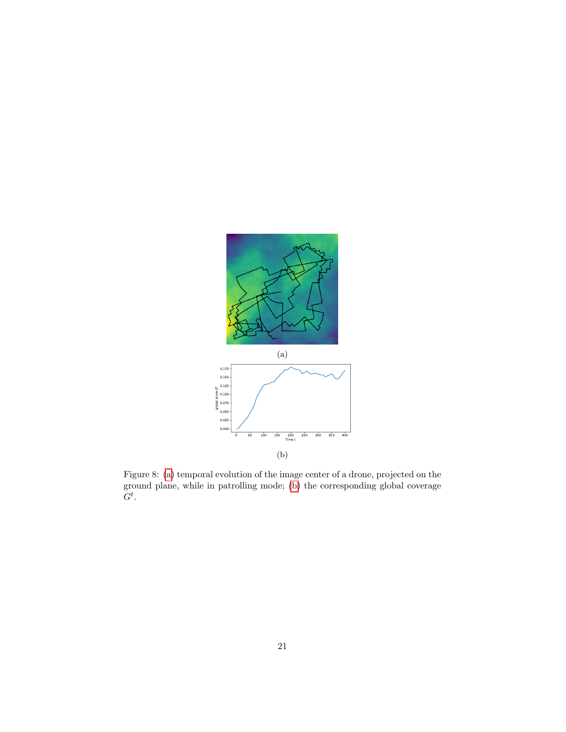<span id="page-20-0"></span>

Figure 8: [\(a\)](#page-20-0) temporal evolution of the image center of a drone, projected on the ground plane, while in patrolling mode; [\(b\)](#page-20-0) the corresponding global coverage  $G^t$ .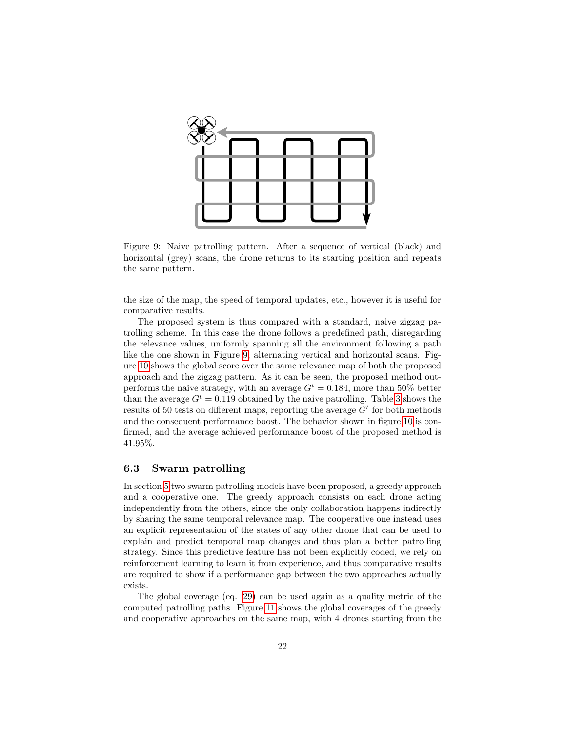<span id="page-21-0"></span>

Figure 9: Naive patrolling pattern. After a sequence of vertical (black) and horizontal (grey) scans, the drone returns to its starting position and repeats the same pattern.

the size of the map, the speed of temporal updates, etc., however it is useful for comparative results.

The proposed system is thus compared with a standard, naive zigzag patrolling scheme. In this case the drone follows a predefined path, disregarding the relevance values, uniformly spanning all the environment following a path like the one shown in Figure [9,](#page-21-0) alternating vertical and horizontal scans. Figure [10](#page-23-0) shows the global score over the same relevance map of both the proposed approach and the zigzag pattern. As it can be seen, the proposed method outperforms the naive strategy, with an average  $G<sup>t</sup> = 0.184$ , more than 50% better than the average  $G^t = 0.119$  obtained by the naive patrolling. Table [3](#page-22-0) shows the results of 50 tests on different maps, reporting the average  $G<sup>t</sup>$  for both methods and the consequent performance boost. The behavior shown in figure [10](#page-23-0) is confirmed, and the average achieved performance boost of the proposed method is 41.95%.

#### 6.3 Swarm patrolling

In section [5](#page-11-0) two swarm patrolling models have been proposed, a greedy approach and a cooperative one. The greedy approach consists on each drone acting independently from the others, since the only collaboration happens indirectly by sharing the same temporal relevance map. The cooperative one instead uses an explicit representation of the states of any other drone that can be used to explain and predict temporal map changes and thus plan a better patrolling strategy. Since this predictive feature has not been explicitly coded, we rely on reinforcement learning to learn it from experience, and thus comparative results are required to show if a performance gap between the two approaches actually exists.

The global coverage (eq. [29\)](#page-19-1) can be used again as a quality metric of the computed patrolling paths. Figure [11](#page-24-0) shows the global coverages of the greedy and cooperative approaches on the same map, with 4 drones starting from the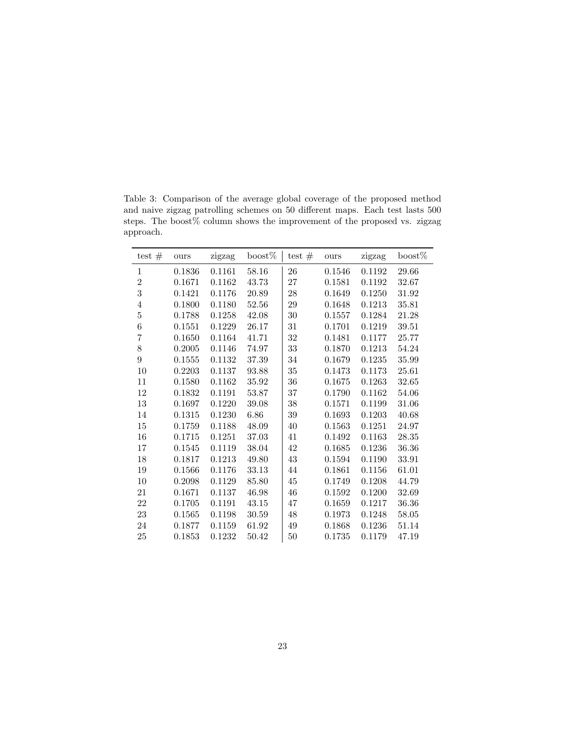| and naive zigzag patrolling schemes on 50 different maps. Each test lasts 500 |  |
|-------------------------------------------------------------------------------|--|
| steps. The boost% column shows the improvement of the proposed vs. zigzag     |  |
| approach.                                                                     |  |
|                                                                               |  |

<span id="page-22-0"></span>Table 3: Comparison of the average global coverage of the proposed method

| test $#$         | ours   | zigzag | $\text{boost}\%$ | test $#$ | ours   | zigzag | $\mathrm{boost}\%$ |
|------------------|--------|--------|------------------|----------|--------|--------|--------------------|
| $\mathbf{1}$     | 0.1836 | 0.1161 | 58.16            | 26       | 0.1546 | 0.1192 | 29.66              |
| $\overline{2}$   | 0.1671 | 0.1162 | 43.73            | 27       | 0.1581 | 0.1192 | 32.67              |
| 3                | 0.1421 | 0.1176 | 20.89            | 28       | 0.1649 | 0.1250 | 31.92              |
| $\,4\,$          | 0.1800 | 0.1180 | 52.56            | $\,29$   | 0.1648 | 0.1213 | 35.81              |
| $\overline{5}$   | 0.1788 | 0.1258 | 42.08            | 30       | 0.1557 | 0.1284 | 21.28              |
| $\,6$            | 0.1551 | 0.1229 | 26.17            | 31       | 0.1701 | 0.1219 | 39.51              |
| $\overline{7}$   | 0.1650 | 0.1164 | 41.71            | 32       | 0.1481 | 0.1177 | 25.77              |
| $8\,$            | 0.2005 | 0.1146 | 74.97            | $33\,$   | 0.1870 | 0.1213 | 54.24              |
| $\boldsymbol{9}$ | 0.1555 | 0.1132 | 37.39            | 34       | 0.1679 | 0.1235 | $35.99\,$          |
| $10\,$           | 0.2203 | 0.1137 | 93.88            | 35       | 0.1473 | 0.1173 | 25.61              |
| 11               | 0.1580 | 0.1162 | 35.92            | 36       | 0.1675 | 0.1263 | 32.65              |
| 12               | 0.1832 | 0.1191 | 53.87            | 37       | 0.1790 | 0.1162 | 54.06              |
| 13               | 0.1697 | 0.1220 | 39.08            | 38       | 0.1571 | 0.1199 | 31.06              |
| 14               | 0.1315 | 0.1230 | $6.86\,$         | $39\,$   | 0.1693 | 0.1203 | 40.68              |
| $15\,$           | 0.1759 | 0.1188 | 48.09            | 40       | 0.1563 | 0.1251 | 24.97              |
| 16               | 0.1715 | 0.1251 | 37.03            | 41       | 0.1492 | 0.1163 | 28.35              |
| 17               | 0.1545 | 0.1119 | 38.04            | 42       | 0.1685 | 0.1236 | 36.36              |
| 18               | 0.1817 | 0.1213 | 49.80            | 43       | 0.1594 | 0.1190 | 33.91              |
| 19               | 0.1566 | 0.1176 | 33.13            | 44       | 0.1861 | 0.1156 | 61.01              |
| 10               | 0.2098 | 0.1129 | 85.80            | 45       | 0.1749 | 0.1208 | 44.79              |
| 21               | 0.1671 | 0.1137 | 46.98            | 46       | 0.1592 | 0.1200 | 32.69              |
| $22\,$           | 0.1705 | 0.1191 | 43.15            | 47       | 0.1659 | 0.1217 | 36.36              |
| $23\,$           | 0.1565 | 0.1198 | 30.59            | 48       | 0.1973 | 0.1248 | 58.05              |
| 24               | 0.1877 | 0.1159 | 61.92            | 49       | 0.1868 | 0.1236 | 51.14              |
| 25               | 0.1853 | 0.1232 | 50.42            | $50\,$   | 0.1735 | 0.1179 | 47.19              |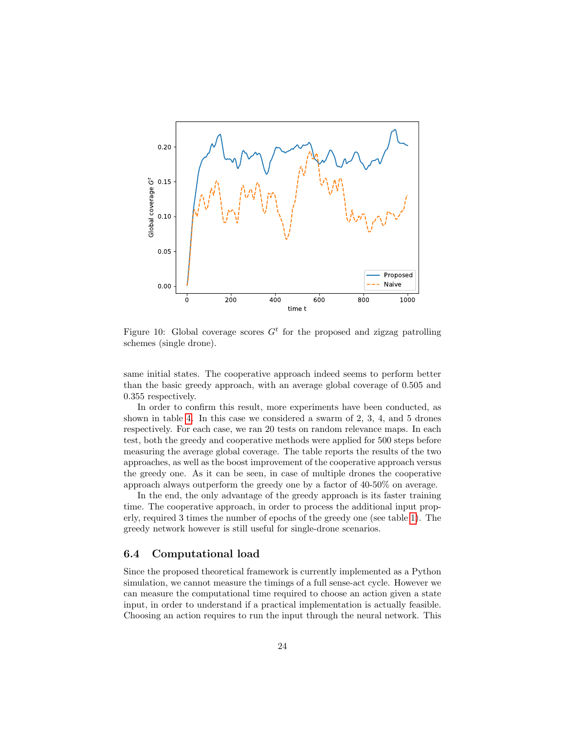<span id="page-23-0"></span>

Figure 10: Global coverage scores  $G<sup>t</sup>$  for the proposed and zigzag patrolling schemes (single drone).

same initial states. The cooperative approach indeed seems to perform better than the basic greedy approach, with an average global coverage of 0.505 and 0.355 respectively.

In order to confirm this result, more experiments have been conducted, as shown in table [4.](#page-25-3) In this case we considered a swarm of 2, 3, 4, and 5 drones respectively. For each case, we ran 20 tests on random relevance maps. In each test, both the greedy and cooperative methods were applied for 500 steps before measuring the average global coverage. The table reports the results of the two approaches, as well as the boost improvement of the cooperative approach versus the greedy one. As it can be seen, in case of multiple drones the cooperative approach always outperform the greedy one by a factor of 40-50% on average.

In the end, the only advantage of the greedy approach is its faster training time. The cooperative approach, in order to process the additional input properly, required 3 times the number of epochs of the greedy one (see table [1\)](#page-15-2). The greedy network however is still useful for single-drone scenarios.

### 6.4 Computational load

Since the proposed theoretical framework is currently implemented as a Python simulation, we cannot measure the timings of a full sense-act cycle. However we can measure the computational time required to choose an action given a state input, in order to understand if a practical implementation is actually feasible. Choosing an action requires to run the input through the neural network. This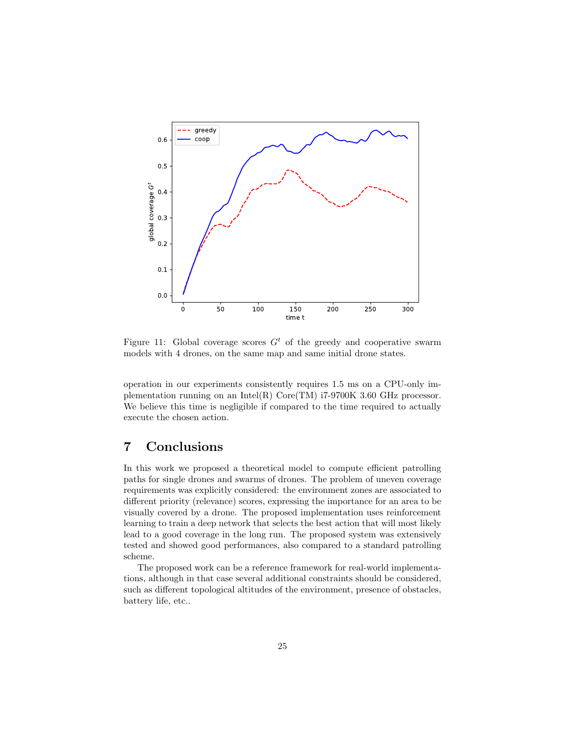<span id="page-24-0"></span>

Figure 11: Global coverage scores  $G<sup>t</sup>$  of the greedy and cooperative swarm models with 4 drones, on the same map and same initial drone states.

operation in our experiments consistently requires 1.5 ms on a CPU-only implementation running on an Intel(R) Core(TM) i7-9700K 3.60 GHz processor. We believe this time is negligible if compared to the time required to actually execute the chosen action.

# 7 Conclusions

In this work we proposed a theoretical model to compute efficient patrolling paths for single drones and swarms of drones. The problem of uneven coverage requirements was explicitly considered: the environment zones are associated to different priority (relevance) scores, expressing the importance for an area to be visually covered by a drone. The proposed implementation uses reinforcement learning to train a deep network that selects the best action that will most likely lead to a good coverage in the long run. The proposed system was extensively tested and showed good performances, also compared to a standard patrolling scheme.

The proposed work can be a reference framework for real-world implementations, although in that case several additional constraints should be considered, such as different topological altitudes of the environment, presence of obstacles, battery life, etc..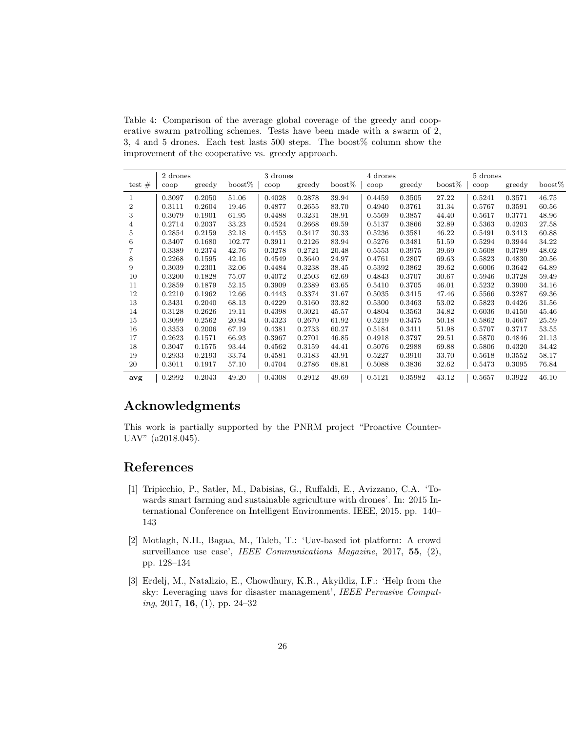<span id="page-25-3"></span>Table 4: Comparison of the average global coverage of the greedy and cooperative swarm patrolling schemes. Tests have been made with a swarm of 2, 3, 4 and 5 drones. Each test lasts 500 steps. The boost% column show the improvement of the cooperative vs. greedy approach.

|                | 2 drones    |        |                  | 3 drones              |        |                  | 4 drones    |         |                  | 5 drones    |        |                  |
|----------------|-------------|--------|------------------|-----------------------|--------|------------------|-------------|---------|------------------|-------------|--------|------------------|
| test $#$       | $\rm{coop}$ | greedy | $\text{boost}\%$ | $\operatorname{coop}$ | greedy | $\text{boost}\%$ | $\bf{coop}$ | greedy  | $\text{boost}\%$ | $\rm{coop}$ | greedy | $\text{boost}\%$ |
| 1              | 0.3097      | 0.2050 | 51.06            | 0.4028                | 0.2878 | 39.94            | 0.4459      | 0.3505  | 27.22            | 0.5241      | 0.3571 | 46.75            |
| $\overline{2}$ | 0.3111      | 0.2604 | 19.46            | 0.4877                | 0.2655 | 83.70            | 0.4940      | 0.3761  | 31.34            | 0.5767      | 0.3591 | 60.56            |
| 3              | 0.3079      | 0.1901 | 61.95            | 0.4488                | 0.3231 | 38.91            | 0.5569      | 0.3857  | 44.40            | 0.5617      | 0.3771 | 48.96            |
| 4              | 0.2714      | 0.2037 | 33.23            | 0.4524                | 0.2668 | 69.59            | 0.5137      | 0.3866  | 32.89            | 0.5363      | 0.4203 | 27.58            |
| 5              | 0.2854      | 0.2159 | 32.18            | 0.4453                | 0.3417 | 30.33            | 0.5236      | 0.3581  | 46.22            | 0.5491      | 0.3413 | 60.88            |
| 6              | 0.3407      | 0.1680 | 102.77           | 0.3911                | 0.2126 | 83.94            | 0.5276      | 0.3481  | 51.59            | 0.5294      | 0.3944 | 34.22            |
| $\overline{7}$ | 0.3389      | 0.2374 | 42.76            | 0.3278                | 0.2721 | 20.48            | 0.5553      | 0.3975  | 39.69            | 0.5608      | 0.3789 | 48.02            |
| 8              | 0.2268      | 0.1595 | 42.16            | 0.4549                | 0.3640 | 24.97            | 0.4761      | 0.2807  | 69.63            | 0.5823      | 0.4830 | 20.56            |
| 9              | 0.3039      | 0.2301 | 32.06            | 0.4484                | 0.3238 | 38.45            | 0.5392      | 0.3862  | 39.62            | 0.6006      | 0.3642 | 64.89            |
| 10             | 0.3200      | 0.1828 | 75.07            | 0.4072                | 0.2503 | 62.69            | 0.4843      | 0.3707  | 30.67            | 0.5946      | 0.3728 | 59.49            |
| 11             | 0.2859      | 0.1879 | 52.15            | 0.3909                | 0.2389 | 63.65            | 0.5410      | 0.3705  | 46.01            | 0.5232      | 0.3900 | 34.16            |
| 12             | 0.2210      | 0.1962 | 12.66            | 0.4443                | 0.3374 | 31.67            | 0.5035      | 0.3415  | 47.46            | 0.5566      | 0.3287 | 69.36            |
| 13             | 0.3431      | 0.2040 | 68.13            | 0.4229                | 0.3160 | 33.82            | 0.5300      | 0.3463  | 53.02            | 0.5823      | 0.4426 | 31.56            |
| 14             | 0.3128      | 0.2626 | 19.11            | 0.4398                | 0.3021 | 45.57            | 0.4804      | 0.3563  | 34.82            | 0.6036      | 0.4150 | 45.46            |
| 15             | 0.3099      | 0.2562 | 20.94            | 0.4323                | 0.2670 | 61.92            | 0.5219      | 0.3475  | 50.18            | 0.5862      | 0.4667 | 25.59            |
| 16             | 0.3353      | 0.2006 | 67.19            | 0.4381                | 0.2733 | 60.27            | 0.5184      | 0.3411  | 51.98            | 0.5707      | 0.3717 | 53.55            |
| 17             | 0.2623      | 0.1571 | 66.93            | 0.3967                | 0.2701 | 46.85            | 0.4918      | 0.3797  | 29.51            | 0.5870      | 0.4846 | 21.13            |
| 18             | 0.3047      | 0.1575 | 93.44            | 0.4562                | 0.3159 | 44.41            | 0.5076      | 0.2988  | 69.88            | 0.5806      | 0.4320 | 34.42            |
| 19             | 0.2933      | 0.2193 | 33.74            | 0.4581                | 0.3183 | 43.91            | 0.5227      | 0.3910  | 33.70            | 0.5618      | 0.3552 | 58.17            |
| 20             | 0.3011      | 0.1917 | 57.10            | 0.4704                | 0.2786 | 68.81            | 0.5088      | 0.3836  | 32.62            | 0.5473      | 0.3095 | 76.84            |
| avg            | 0.2992      | 0.2043 | 49.20            | 0.4308                | 0.2912 | 49.69            | 0.5121      | 0.35982 | 43.12            | 0.5657      | 0.3922 | 46.10            |

# Acknowledgments

This work is partially supported by the PNRM project "Proactive Counter-UAV" (a2018.045).

# References

- <span id="page-25-0"></span>[1] Tripicchio, P., Satler, M., Dabisias, G., Ruffaldi, E., Avizzano, C.A. 'Towards smart farming and sustainable agriculture with drones'. In: 2015 International Conference on Intelligent Environments. IEEE, 2015. pp. 140– 143
- <span id="page-25-1"></span>[2] Motlagh, N.H., Bagaa, M., Taleb, T.: 'Uav-based iot platform: A crowd surveillance use case', IEEE Communications Magazine, 2017, 55, (2), pp. 128–134
- <span id="page-25-2"></span>[3] Erdelj, M., Natalizio, E., Chowdhury, K.R., Akyildiz, I.F.: 'Help from the sky: Leveraging uavs for disaster management', IEEE Pervasive Computing, 2017, 16, (1), pp. 24–32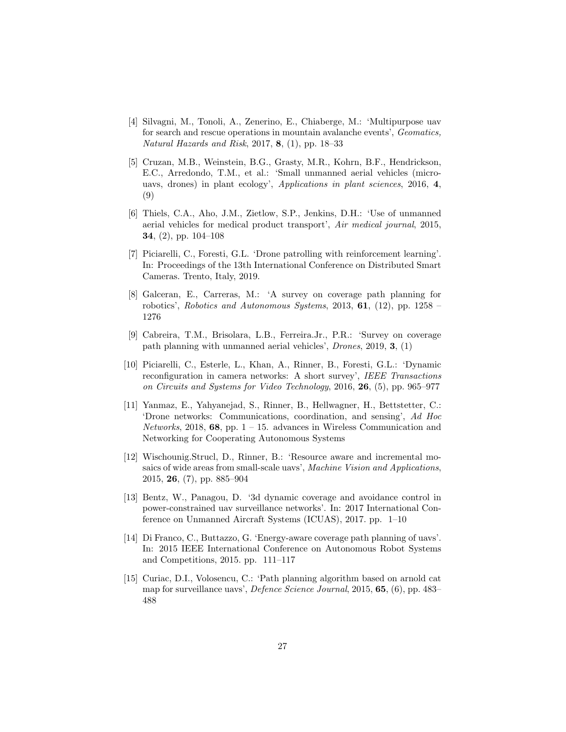- <span id="page-26-0"></span>[4] Silvagni, M., Tonoli, A., Zenerino, E., Chiaberge, M.: 'Multipurpose uav for search and rescue operations in mountain avalanche events', Geomatics, Natural Hazards and Risk, 2017, 8,  $(1)$ , pp. 18–33
- <span id="page-26-1"></span>[5] Cruzan, M.B., Weinstein, B.G., Grasty, M.R., Kohrn, B.F., Hendrickson, E.C., Arredondo, T.M., et al.: 'Small unmanned aerial vehicles (microuavs, drones) in plant ecology', Applications in plant sciences, 2016, 4, (9)
- <span id="page-26-2"></span>[6] Thiels, C.A., Aho, J.M., Zietlow, S.P., Jenkins, D.H.: 'Use of unmanned aerial vehicles for medical product transport', Air medical journal, 2015, 34, (2), pp. 104–108
- <span id="page-26-3"></span>[7] Piciarelli, C., Foresti, G.L. 'Drone patrolling with reinforcement learning'. In: Proceedings of the 13th International Conference on Distributed Smart Cameras. Trento, Italy, 2019.
- <span id="page-26-4"></span>[8] Galceran, E., Carreras, M.: 'A survey on coverage path planning for robotics', Robotics and Autonomous Systems, 2013,  $61$ , (12), pp. 1258 – 1276
- <span id="page-26-5"></span>[9] Cabreira, T.M., Brisolara, L.B., Ferreira.Jr., P.R.: 'Survey on coverage path planning with unmanned aerial vehicles', Drones, 2019, 3, (1)
- <span id="page-26-6"></span>[10] Piciarelli, C., Esterle, L., Khan, A., Rinner, B., Foresti, G.L.: 'Dynamic reconfiguration in camera networks: A short survey', IEEE Transactions on Circuits and Systems for Video Technology, 2016, 26, (5), pp. 965–977
- <span id="page-26-7"></span>[11] Yanmaz, E., Yahyanejad, S., Rinner, B., Hellwagner, H., Bettstetter, C.: 'Drone networks: Communications, coordination, and sensing', Ad Hoc Networks, 2018, 68, pp.  $1 - 15$ . advances in Wireless Communication and Networking for Cooperating Autonomous Systems
- <span id="page-26-8"></span>[12] Wischounig.Strucl, D., Rinner, B.: 'Resource aware and incremental mosaics of wide areas from small-scale uavs', Machine Vision and Applications, 2015, 26, (7), pp. 885–904
- <span id="page-26-9"></span>[13] Bentz, W., Panagou, D. '3d dynamic coverage and avoidance control in power-constrained uav surveillance networks'. In: 2017 International Conference on Unmanned Aircraft Systems (ICUAS), 2017. pp. 1–10
- <span id="page-26-10"></span>[14] Di Franco, C., Buttazzo, G. 'Energy-aware coverage path planning of uavs'. In: 2015 IEEE International Conference on Autonomous Robot Systems and Competitions, 2015. pp. 111–117
- <span id="page-26-11"></span>[15] Curiac, D.I., Volosencu, C.: 'Path planning algorithm based on arnold cat map for surveillance uavs', Defence Science Journal, 2015, 65, (6), pp. 483– 488